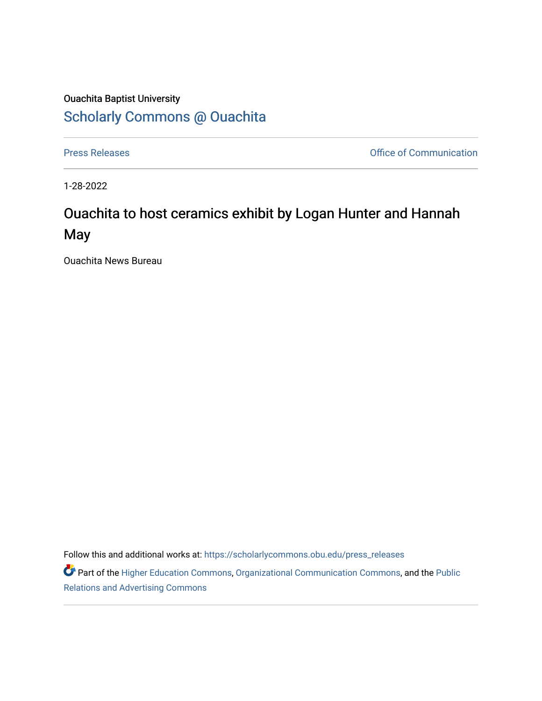## Ouachita Baptist University [Scholarly Commons @ Ouachita](https://scholarlycommons.obu.edu/)

[Press Releases](https://scholarlycommons.obu.edu/press_releases) **Press Releases Communication** 

1-28-2022

## Ouachita to host ceramics exhibit by Logan Hunter and Hannah May

Ouachita News Bureau

Follow this and additional works at: [https://scholarlycommons.obu.edu/press\\_releases](https://scholarlycommons.obu.edu/press_releases?utm_source=scholarlycommons.obu.edu%2Fpress_releases%2F1044&utm_medium=PDF&utm_campaign=PDFCoverPages)

Part of the [Higher Education Commons,](http://network.bepress.com/hgg/discipline/1245?utm_source=scholarlycommons.obu.edu%2Fpress_releases%2F1044&utm_medium=PDF&utm_campaign=PDFCoverPages) [Organizational Communication Commons,](http://network.bepress.com/hgg/discipline/335?utm_source=scholarlycommons.obu.edu%2Fpress_releases%2F1044&utm_medium=PDF&utm_campaign=PDFCoverPages) and the [Public](http://network.bepress.com/hgg/discipline/336?utm_source=scholarlycommons.obu.edu%2Fpress_releases%2F1044&utm_medium=PDF&utm_campaign=PDFCoverPages) [Relations and Advertising Commons](http://network.bepress.com/hgg/discipline/336?utm_source=scholarlycommons.obu.edu%2Fpress_releases%2F1044&utm_medium=PDF&utm_campaign=PDFCoverPages)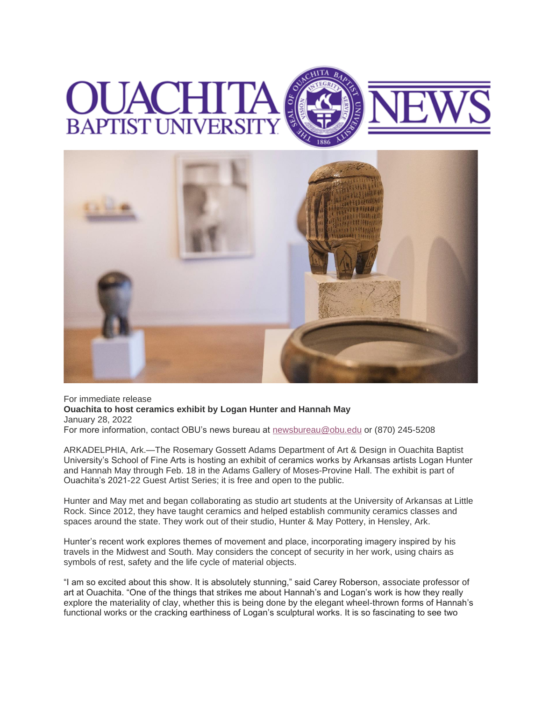## **BAPTIST UNIVERS**



For immediate release **Ouachita to host ceramics exhibit by Logan Hunter and Hannah May** January 28, 2022 For more information, contact OBU's news bureau at [newsbureau@obu.edu](mailto:newsbureau@obu.edu) or (870) 245-5208

ARKADELPHIA, Ark.—The Rosemary Gossett Adams Department of Art & Design in Ouachita Baptist University's School of Fine Arts is hosting an exhibit of ceramics works by Arkansas artists Logan Hunter and Hannah May through Feb. 18 in the Adams Gallery of Moses-Provine Hall. The exhibit is part of Ouachita's 2021-22 Guest Artist Series; it is free and open to the public.

Hunter and May met and began collaborating as studio art students at the University of Arkansas at Little Rock. Since 2012, they have taught ceramics and helped establish community ceramics classes and spaces around the state. They work out of their studio, Hunter & May Pottery, in Hensley, Ark.

Hunter's recent work explores themes of movement and place, incorporating imagery inspired by his travels in the Midwest and South. May considers the concept of security in her work, using chairs as symbols of rest, safety and the life cycle of material objects.

"I am so excited about this show. It is absolutely stunning," said Carey Roberson, associate professor of art at Ouachita. "One of the things that strikes me about Hannah's and Logan's work is how they really explore the materiality of clay, whether this is being done by the elegant wheel-thrown forms of Hannah's functional works or the cracking earthiness of Logan's sculptural works. It is so fascinating to see two